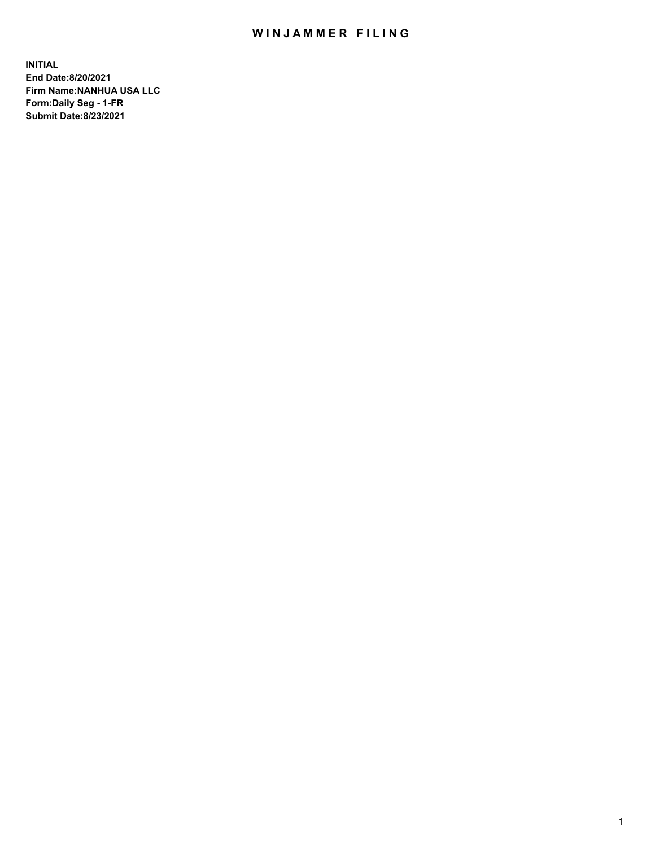## WIN JAMMER FILING

**INITIAL End Date:8/20/2021 Firm Name:NANHUA USA LLC Form:Daily Seg - 1-FR Submit Date:8/23/2021**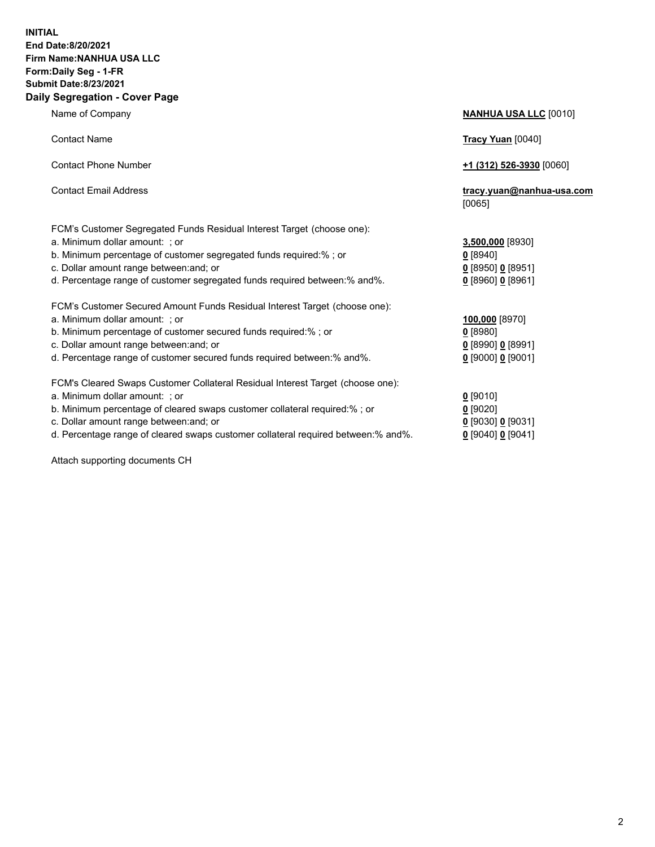## **INITIAL End Date:8/20/2021 Firm Name:NANHUA USA LLC Form:Daily Seg - 1-FR Submit Date:8/23/2021 Daily Segregation - Cover Page**

Name of Company **NANHUA USA LLC** [0010] Contact Name **Tracy Yuan** [0040] Contact Phone Number **+1 (312) 526-3930** [0060] Contact Email Address **tracy.yuan@nanhua-usa.com** [0065] FCM's Customer Segregated Funds Residual Interest Target (choose one): a. Minimum dollar amount: ; or **3,500,000** [8930] b. Minimum percentage of customer segregated funds required:% ; or **0** [8940] c. Dollar amount range between:and; or **0** [8950] **0** [8951] d. Percentage range of customer segregated funds required between:% and%. **0** [8960] **0** [8961] FCM's Customer Secured Amount Funds Residual Interest Target (choose one): a. Minimum dollar amount: ; or **100,000** [8970] b. Minimum percentage of customer secured funds required:% ; or **0** [8980] c. Dollar amount range between:and; or **0** [8990] **0** [8991] d. Percentage range of customer secured funds required between:% and%. **0** [9000] **0** [9001] FCM's Cleared Swaps Customer Collateral Residual Interest Target (choose one): a. Minimum dollar amount: ; or **0 g** b. Minimum percentage of cleared swaps customer collateral required:% ; or **0** c. Dollar amount range between:and; or **0** [9030] **0** [9031]

d. Percentage range of cleared swaps customer collateral required between:% and%. **0** [9040] **0** [9041]

Attach supporting documents CH

| [9010]                 |
|------------------------|
| [9020]                 |
| [9030] 0 [9031]        |
| 190401 <b>0</b> 190411 |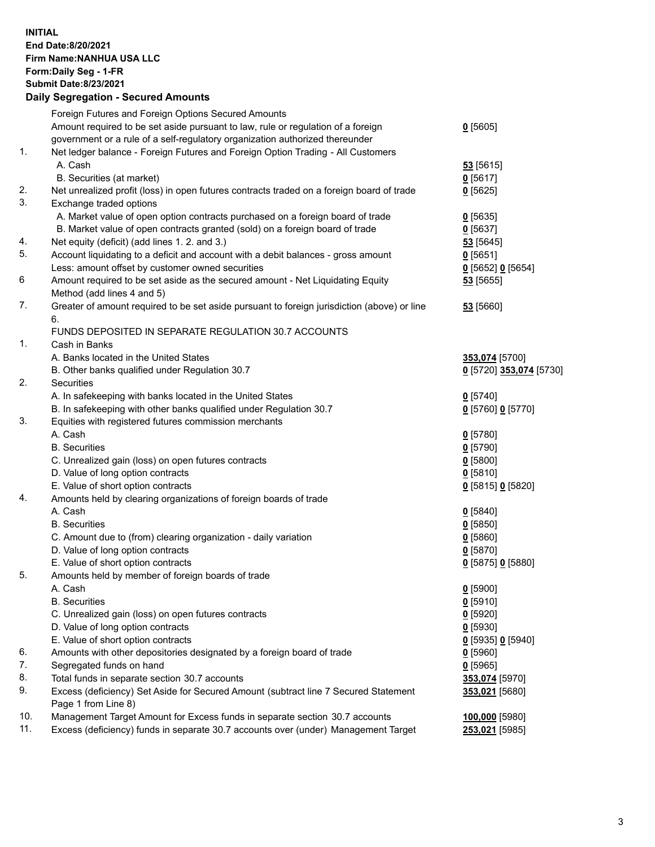**INITIAL End Date:8/20/2021 Firm Name:NANHUA USA LLC Form:Daily Seg - 1-FR Submit Date:8/23/2021 Daily Segregation - Secured Amounts**

|                | Foreign Futures and Foreign Options Secured Amounts                                                        |                         |
|----------------|------------------------------------------------------------------------------------------------------------|-------------------------|
|                | Amount required to be set aside pursuant to law, rule or regulation of a foreign                           | $0$ [5605]              |
|                | government or a rule of a self-regulatory organization authorized thereunder                               |                         |
| $\mathbf{1}$ . | Net ledger balance - Foreign Futures and Foreign Option Trading - All Customers                            |                         |
|                | A. Cash                                                                                                    | 53 [5615]               |
|                | B. Securities (at market)                                                                                  | $0$ [5617]              |
| 2.             | Net unrealized profit (loss) in open futures contracts traded on a foreign board of trade                  | $0$ [5625]              |
| 3.             | Exchange traded options                                                                                    |                         |
|                | A. Market value of open option contracts purchased on a foreign board of trade                             | $0$ [5635]              |
|                | B. Market value of open contracts granted (sold) on a foreign board of trade                               | $0$ [5637]              |
| 4.             | Net equity (deficit) (add lines 1. 2. and 3.)                                                              | 53 [5645]               |
| 5.             | Account liquidating to a deficit and account with a debit balances - gross amount                          | $0$ [5651]              |
|                | Less: amount offset by customer owned securities                                                           | $0$ [5652] $0$ [5654]   |
| 6              | Amount required to be set aside as the secured amount - Net Liquidating Equity                             | 53 [5655]               |
|                | Method (add lines 4 and 5)                                                                                 |                         |
| 7.             | Greater of amount required to be set aside pursuant to foreign jurisdiction (above) or line                | 53 [5660]               |
|                | 6.                                                                                                         |                         |
|                | FUNDS DEPOSITED IN SEPARATE REGULATION 30.7 ACCOUNTS                                                       |                         |
| 1.             | Cash in Banks                                                                                              |                         |
|                | A. Banks located in the United States                                                                      | 353,074 [5700]          |
|                | B. Other banks qualified under Regulation 30.7                                                             | 0 [5720] 353,074 [5730] |
| 2.             | Securities                                                                                                 |                         |
|                | A. In safekeeping with banks located in the United States                                                  | $0$ [5740]              |
|                | B. In safekeeping with other banks qualified under Regulation 30.7                                         | 0 [5760] 0 [5770]       |
| 3.             | Equities with registered futures commission merchants                                                      |                         |
|                | A. Cash                                                                                                    | $0$ [5780]              |
|                | <b>B.</b> Securities                                                                                       | $0$ [5790]              |
|                | C. Unrealized gain (loss) on open futures contracts                                                        | $0$ [5800]              |
|                | D. Value of long option contracts                                                                          | $0$ [5810]              |
|                | E. Value of short option contracts                                                                         | 0 [5815] 0 [5820]       |
| 4.             | Amounts held by clearing organizations of foreign boards of trade                                          |                         |
|                | A. Cash                                                                                                    | $0$ [5840]              |
|                | <b>B.</b> Securities                                                                                       | $0$ [5850]              |
|                | C. Amount due to (from) clearing organization - daily variation                                            | 0[5860]                 |
|                | D. Value of long option contracts                                                                          | $0$ [5870]              |
|                | E. Value of short option contracts                                                                         | 0 [5875] 0 [5880]       |
| 5.             | Amounts held by member of foreign boards of trade                                                          |                         |
|                | A. Cash                                                                                                    | $0$ [5900]              |
|                | <b>B.</b> Securities                                                                                       | $0$ [5910]              |
|                | C. Unrealized gain (loss) on open futures contracts                                                        | $0$ [5920]              |
|                | D. Value of long option contracts                                                                          | $0$ [5930]              |
|                | E. Value of short option contracts                                                                         | 0 [5935] 0 [5940]       |
| 6.             | Amounts with other depositories designated by a foreign board of trade                                     | $0$ [5960]              |
| 7.             | Segregated funds on hand                                                                                   | $0$ [5965]              |
| 8.             | Total funds in separate section 30.7 accounts                                                              | 353,074 [5970]          |
| 9.             | Excess (deficiency) Set Aside for Secured Amount (subtract line 7 Secured Statement<br>Page 1 from Line 8) | 353,021 [5680]          |
| 10.            | Management Target Amount for Excess funds in separate section 30.7 accounts                                | 100,000 [5980]          |
| 11.            | Excess (deficiency) funds in separate 30.7 accounts over (under) Management Target                         | 253,021 [5985]          |
|                |                                                                                                            |                         |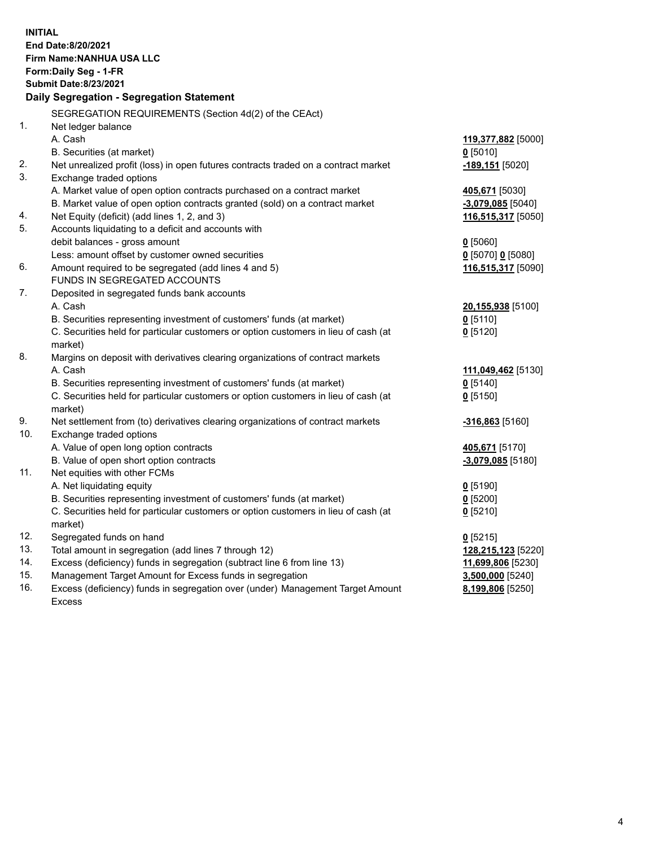| <b>INITIAL</b> | End Date:8/20/2021<br>Firm Name: NANHUA USA LLC<br>Form: Daily Seg - 1-FR<br><b>Submit Date:8/23/2021</b><br>Daily Segregation - Segregation Statement |                            |
|----------------|--------------------------------------------------------------------------------------------------------------------------------------------------------|----------------------------|
|                |                                                                                                                                                        |                            |
| $\mathbf{1}$ . | SEGREGATION REQUIREMENTS (Section 4d(2) of the CEAct)<br>Net ledger balance                                                                            |                            |
|                | A. Cash                                                                                                                                                | 119,377,882 [5000]         |
|                | B. Securities (at market)                                                                                                                              | $0$ [5010]                 |
| 2.             | Net unrealized profit (loss) in open futures contracts traded on a contract market                                                                     | -189,151 <sup>[5020]</sup> |
| 3.             | Exchange traded options                                                                                                                                |                            |
|                | A. Market value of open option contracts purchased on a contract market                                                                                | 405,671 [5030]             |
|                | B. Market value of open option contracts granted (sold) on a contract market                                                                           | <u>-3,079,085</u> [5040]   |
| 4.             | Net Equity (deficit) (add lines 1, 2, and 3)                                                                                                           | 116,515,317 [5050]         |
| 5.             | Accounts liquidating to a deficit and accounts with                                                                                                    |                            |
|                | debit balances - gross amount                                                                                                                          | $0$ [5060]                 |
|                | Less: amount offset by customer owned securities                                                                                                       | $0$ [5070] 0 [5080]        |
| 6.             | Amount required to be segregated (add lines 4 and 5)                                                                                                   | 116,515,317 [5090]         |
|                | FUNDS IN SEGREGATED ACCOUNTS                                                                                                                           |                            |
| 7.             | Deposited in segregated funds bank accounts                                                                                                            |                            |
|                | A. Cash                                                                                                                                                | 20,155,938 [5100]          |
|                | B. Securities representing investment of customers' funds (at market)                                                                                  | $0$ [5110]                 |
|                | C. Securities held for particular customers or option customers in lieu of cash (at                                                                    | $0$ [5120]                 |
|                | market)                                                                                                                                                |                            |
| 8.             | Margins on deposit with derivatives clearing organizations of contract markets                                                                         |                            |
|                | A. Cash                                                                                                                                                | 111,049,462 [5130]         |
|                | B. Securities representing investment of customers' funds (at market)                                                                                  | $0$ [5140]                 |
|                | C. Securities held for particular customers or option customers in lieu of cash (at                                                                    | $0$ [5150]                 |
|                | market)                                                                                                                                                |                            |
| 9.             | Net settlement from (to) derivatives clearing organizations of contract markets                                                                        | <u>-316,863</u> [5160]     |
| 10.            | Exchange traded options                                                                                                                                |                            |
|                | A. Value of open long option contracts                                                                                                                 | 405,671 [5170]             |
|                | B. Value of open short option contracts                                                                                                                | $-3,079,085$ [5180]        |
| 11.            | Net equities with other FCMs                                                                                                                           |                            |
|                | A. Net liquidating equity                                                                                                                              | $0$ [5190]                 |
|                | B. Securities representing investment of customers' funds (at market)                                                                                  | 0 [5200]                   |
|                | C. Securities held for particular customers or option customers in lieu of cash (at                                                                    | 0 [5210]                   |
|                | market)                                                                                                                                                |                            |
| 12.            | Segregated funds on hand                                                                                                                               | $0$ [5215]                 |
| 13.            | Total amount in segregation (add lines 7 through 12)                                                                                                   | 128,215,123 [5220]         |
| 14.            | Excess (deficiency) funds in segregation (subtract line 6 from line 13)                                                                                | 11,699,806 [5230]          |
| 15.            | Management Target Amount for Excess funds in segregation                                                                                               | 3,500,000 [5240]           |
| 16.            | Excess (deficiency) funds in segregation over (under) Management Target Amount                                                                         | 8,199,806 [5250]           |
|                | <b>Excess</b>                                                                                                                                          |                            |